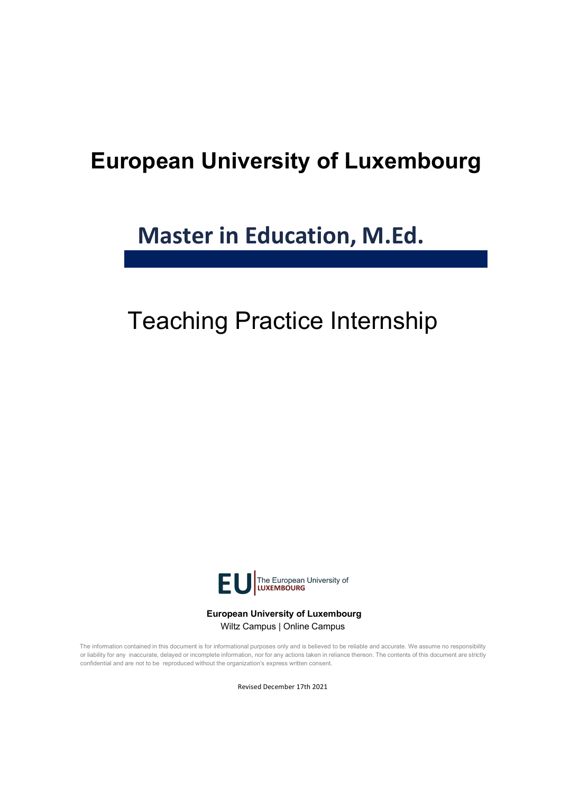# **European University of Luxembourg**

# **Master in Education, M.Ed.**

# Teaching Practice Internship



**European University of Luxembourg** Wiltz Campus | Online Campus

The information contained in this document is for informational purposes only and is believed to be reliable and accurate. We assume no responsibility or liability for any inaccurate, delayed or incomplete information, nor for any actions taken in reliance thereon. The contents of this document are strictly confidential and are not to be reproduced without the organization's express written consent.

Revised December 17th 2021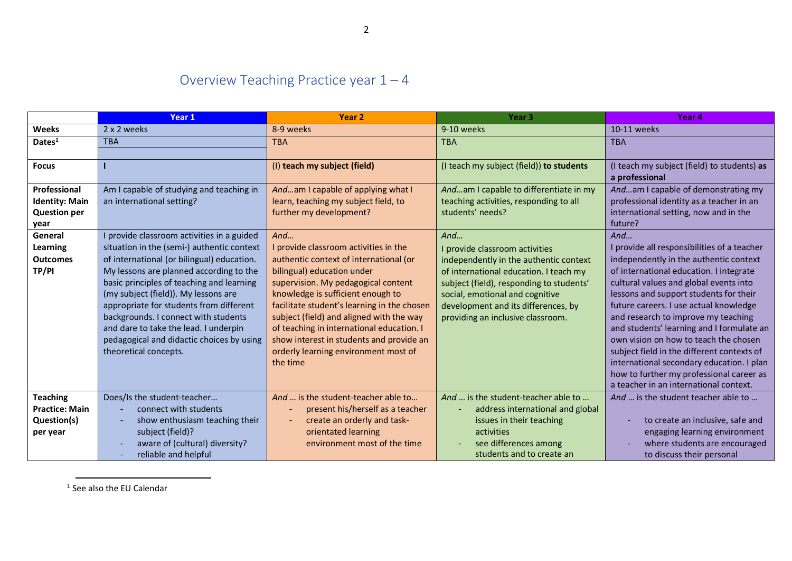## Overview Teaching Practice year  $1 - 4$

|                       | <b>Year 1</b>                              | Year <sub>2</sub>                           | Year <sub>3</sub>                        | Year 4                                      |
|-----------------------|--------------------------------------------|---------------------------------------------|------------------------------------------|---------------------------------------------|
| <b>Weeks</b>          | 2 x 2 weeks                                | 8-9 weeks                                   | 9-10 weeks                               | 10-11 weeks                                 |
| Dates <sup>1</sup>    | <b>TBA</b>                                 | <b>TBA</b>                                  | <b>TBA</b>                               | <b>TBA</b>                                  |
|                       |                                            |                                             |                                          |                                             |
| <b>Focus</b>          |                                            | (I) teach my subject (field)                | (I teach my subject (field)) to students | (I teach my subject (field) to students) as |
|                       |                                            |                                             |                                          | a professional                              |
| Professional          | Am I capable of studying and teaching in   | Andam I capable of applying what I          | Andam I capable to differentiate in my   | Andam I capable of demonstrating my         |
| <b>Identity: Main</b> | an international setting?                  | learn, teaching my subject field, to        | teaching activities, responding to all   | professional identity as a teacher in an    |
| <b>Question per</b>   |                                            | further my development?                     | students' needs?                         | international setting, now and in the       |
| year                  |                                            |                                             |                                          | future?                                     |
| General               | I provide classroom activities in a guided | And                                         | And                                      | And                                         |
| <b>Learning</b>       | situation in the (semi-) authentic context | I provide classroom activities in the       | I provide classroom activities           | I provide all responsibilities of a teacher |
| <b>Outcomes</b>       | of international (or bilingual) education. | authentic context of international (or      | independently in the authentic context   | independently in the authentic context      |
| TP/PI                 | My lessons are planned according to the    | bilingual) education under                  | of international education. I teach my   | of international education. I integrate     |
|                       | basic principles of teaching and learning  | supervision. My pedagogical content         | subject (field), responding to students' | cultural values and global events into      |
|                       | (my subject (field)). My lessons are       | knowledge is sufficient enough to           | social, emotional and cognitive          | lessons and support students for their      |
|                       | appropriate for students from different    | facilitate student's learning in the chosen | development and its differences, by      | future careers. I use actual knowledge      |
|                       | backgrounds. I connect with students       | subject (field) and aligned with the way    | providing an inclusive classroom.        | and research to improve my teaching         |
|                       | and dare to take the lead. I underpin      | of teaching in international education. I   |                                          | and students' learning and I formulate an   |
|                       | pedagogical and didactic choices by using  | show interest in students and provide an    |                                          | own vision on how to teach the chosen       |
|                       | theoretical concepts.                      | orderly learning environment most of        |                                          | subject field in the different contexts of  |
|                       |                                            | the time                                    |                                          | international secondary education. I plan   |
|                       |                                            |                                             |                                          | how to further my professional career as    |
|                       |                                            |                                             |                                          | a teacher in an international context.      |
| <b>Teaching</b>       | Does/Is the student-teacher                | And  is the student-teacher able to         | And  is the student-teacher able to      | And  is the student teacher able to         |
| <b>Practice: Main</b> | connect with students                      | present his/herself as a teacher            | address international and global         |                                             |
| Question(s)           | show enthusiasm teaching their             | create an orderly and task-                 | issues in their teaching                 | to create an inclusive, safe and            |
| per year              | subject (field)?                           | orientated learning                         | activities                               | engaging learning environment               |
|                       | aware of (cultural) diversity?             | environment most of the time                | see differences among                    | where students are encouraged               |
|                       | reliable and helpful                       |                                             | students and to create an                | to discuss their personal                   |

<sup>1</sup> See also the EU Calendar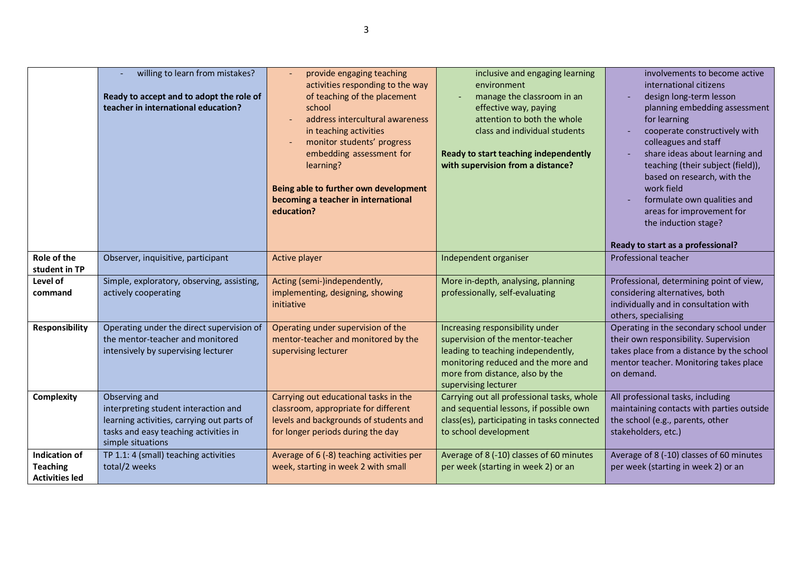|                                                                  | willing to learn from mistakes?<br>Ready to accept and to adopt the role of<br>teacher in international education?                                                | provide engaging teaching<br>activities responding to the way<br>of teaching of the placement<br>school<br>address intercultural awareness<br>in teaching activities<br>monitor students' progress<br>embedding assessment for<br>learning?<br>Being able to further own development<br>becoming a teacher in international<br>education? | inclusive and engaging learning<br>environment<br>manage the classroom in an<br>effective way, paying<br>attention to both the whole<br>class and individual students<br>Ready to start teaching independently<br>with supervision from a distance? | involvements to become active<br>international citizens<br>design long-term lesson<br>planning embedding assessment<br>for learning<br>cooperate constructively with<br>colleagues and staff<br>share ideas about learning and<br>teaching (their subject (field)),<br>based on research, with the<br>work field<br>formulate own qualities and<br>areas for improvement for<br>the induction stage?<br>Ready to start as a professional? |
|------------------------------------------------------------------|-------------------------------------------------------------------------------------------------------------------------------------------------------------------|-------------------------------------------------------------------------------------------------------------------------------------------------------------------------------------------------------------------------------------------------------------------------------------------------------------------------------------------|-----------------------------------------------------------------------------------------------------------------------------------------------------------------------------------------------------------------------------------------------------|-------------------------------------------------------------------------------------------------------------------------------------------------------------------------------------------------------------------------------------------------------------------------------------------------------------------------------------------------------------------------------------------------------------------------------------------|
| Role of the<br>student in TP                                     | Observer, inquisitive, participant                                                                                                                                | Active player                                                                                                                                                                                                                                                                                                                             | Independent organiser                                                                                                                                                                                                                               | Professional teacher                                                                                                                                                                                                                                                                                                                                                                                                                      |
| Level of<br>command                                              | Simple, exploratory, observing, assisting,<br>actively cooperating                                                                                                | Acting (semi-)independently,<br>implementing, designing, showing<br>initiative                                                                                                                                                                                                                                                            | More in-depth, analysing, planning<br>professionally, self-evaluating                                                                                                                                                                               | Professional, determining point of view,<br>considering alternatives, both<br>individually and in consultation with<br>others, specialising                                                                                                                                                                                                                                                                                               |
| Responsibility                                                   | Operating under the direct supervision of<br>the mentor-teacher and monitored<br>intensively by supervising lecturer                                              | Operating under supervision of the<br>mentor-teacher and monitored by the<br>supervising lecturer                                                                                                                                                                                                                                         | Increasing responsibility under<br>supervision of the mentor-teacher<br>leading to teaching independently,<br>monitoring reduced and the more and<br>more from distance, also by the<br>supervising lecturer                                        | Operating in the secondary school under<br>their own responsibility. Supervision<br>takes place from a distance by the school<br>mentor teacher. Monitoring takes place<br>on demand.                                                                                                                                                                                                                                                     |
| Complexity                                                       | Observing and<br>interpreting student interaction and<br>learning activities, carrying out parts of<br>tasks and easy teaching activities in<br>simple situations | Carrying out educational tasks in the<br>classroom, appropriate for different<br>levels and backgrounds of students and<br>for longer periods during the day                                                                                                                                                                              | Carrying out all professional tasks, whole<br>and sequential lessons, if possible own<br>class(es), participating in tasks connected<br>to school development                                                                                       | All professional tasks, including<br>maintaining contacts with parties outside<br>the school (e.g., parents, other<br>stakeholders, etc.)                                                                                                                                                                                                                                                                                                 |
| <b>Indication of</b><br><b>Teaching</b><br><b>Activities led</b> | TP 1.1: 4 (small) teaching activities<br>total/2 weeks                                                                                                            | Average of 6 (-8) teaching activities per<br>week, starting in week 2 with small                                                                                                                                                                                                                                                          | Average of 8 (-10) classes of 60 minutes<br>per week (starting in week 2) or an                                                                                                                                                                     | Average of 8 (-10) classes of 60 minutes<br>per week (starting in week 2) or an                                                                                                                                                                                                                                                                                                                                                           |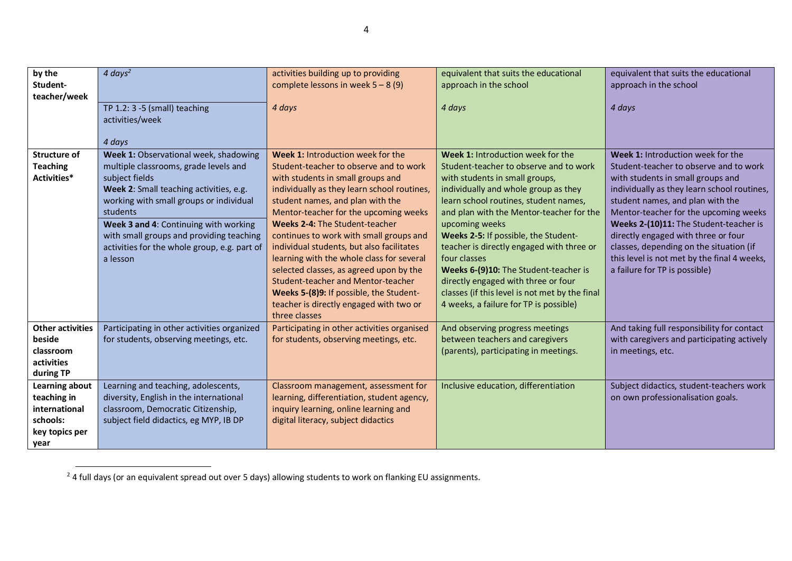| by the                  | $4 \, days^2$                                      | activities building up to providing         | equivalent that suits the educational          | equivalent that suits the educational       |
|-------------------------|----------------------------------------------------|---------------------------------------------|------------------------------------------------|---------------------------------------------|
| Student-                |                                                    | complete lessons in week $5 - 8(9)$         | approach in the school                         | approach in the school                      |
| teacher/week            | TP $1.2:3 - 5$ (small) teaching<br>activities/week | 4 days                                      | 4 days                                         | 4 days                                      |
|                         | 4 days                                             |                                             |                                                |                                             |
| Structure of            | Week 1: Observational week, shadowing              | Week 1: Introduction week for the           | Week 1: Introduction week for the              | Week 1: Introduction week for the           |
| <b>Teaching</b>         | multiple classrooms, grade levels and              | Student-teacher to observe and to work      | Student-teacher to observe and to work         | Student-teacher to observe and to work      |
| Activities*             | subject fields                                     | with students in small groups and           | with students in small groups,                 | with students in small groups and           |
|                         | Week 2: Small teaching activities, e.g.            | individually as they learn school routines, | individually and whole group as they           | individually as they learn school routines, |
|                         | working with small groups or individual            | student names, and plan with the            | learn school routines, student names,          | student names, and plan with the            |
|                         | students                                           | Mentor-teacher for the upcoming weeks       | and plan with the Mentor-teacher for the       | Mentor-teacher for the upcoming weeks       |
|                         | Week 3 and 4: Continuing with working              | Weeks 2-4: The Student-teacher              | upcoming weeks                                 | Weeks 2-(10)11: The Student-teacher is      |
|                         | with small groups and providing teaching           | continues to work with small groups and     | Weeks 2-5: If possible, the Student-           | directly engaged with three or four         |
|                         | activities for the whole group, e.g. part of       | individual students, but also facilitates   | teacher is directly engaged with three or      | classes, depending on the situation (if     |
|                         | a lesson                                           | learning with the whole class for several   | four classes                                   | this level is not met by the final 4 weeks, |
|                         |                                                    | selected classes, as agreed upon by the     | Weeks 6-(9)10: The Student-teacher is          | a failure for TP is possible)               |
|                         |                                                    | Student-teacher and Mentor-teacher          | directly engaged with three or four            |                                             |
|                         |                                                    | Weeks 5-(8)9: If possible, the Student-     | classes (if this level is not met by the final |                                             |
|                         |                                                    | teacher is directly engaged with two or     | 4 weeks, a failure for TP is possible)         |                                             |
|                         |                                                    | three classes                               |                                                |                                             |
| <b>Other activities</b> | Participating in other activities organized        | Participating in other activities organised | And observing progress meetings                | And taking full responsibility for contact  |
| beside                  | for students, observing meetings, etc.             | for students, observing meetings, etc.      | between teachers and caregivers                | with caregivers and participating actively  |
| classroom               |                                                    |                                             | (parents), participating in meetings.          | in meetings, etc.                           |
| activities              |                                                    |                                             |                                                |                                             |
| during TP               |                                                    |                                             |                                                |                                             |
| Learning about          | Learning and teaching, adolescents,                | Classroom management, assessment for        | Inclusive education, differentiation           | Subject didactics, student-teachers work    |
| teaching in             | diversity, English in the international            | learning, differentiation, student agency,  |                                                | on own professionalisation goals.           |
| international           | classroom, Democratic Citizenship,                 | inquiry learning, online learning and       |                                                |                                             |
| schools:                | subject field didactics, eg MYP, IB DP             | digital literacy, subject didactics         |                                                |                                             |
| key topics per          |                                                    |                                             |                                                |                                             |
| year                    |                                                    |                                             |                                                |                                             |

 $^{2}$  4 full days (or an equivalent spread out over 5 days) allowing students to work on flanking EU assignments.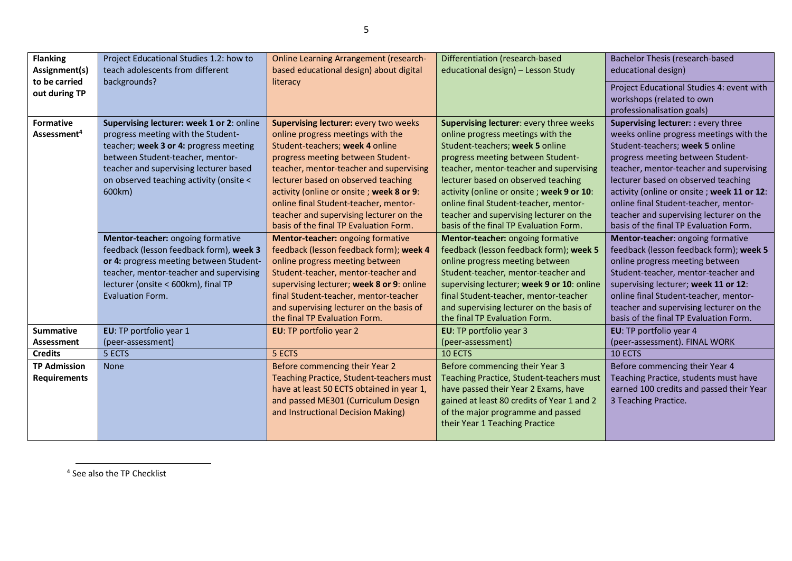| <b>Flanking</b><br>Assignment(s)<br>to be carried | Project Educational Studies 1.2: how to<br>teach adolescents from different<br>backgrounds?                                                                                                                                                                  | <b>Online Learning Arrangement (research-</b><br>based educational design) about digital                                                                                                                                                                                                                                                                                                                              | Differentiation (research-based<br>educational design) - Lesson Study                                                                                                                                                                                                                                                                                                   | Bachelor Thesis (research-based<br>educational design)                                                                                                                                                                                                                                                                                                                     |
|---------------------------------------------------|--------------------------------------------------------------------------------------------------------------------------------------------------------------------------------------------------------------------------------------------------------------|-----------------------------------------------------------------------------------------------------------------------------------------------------------------------------------------------------------------------------------------------------------------------------------------------------------------------------------------------------------------------------------------------------------------------|-------------------------------------------------------------------------------------------------------------------------------------------------------------------------------------------------------------------------------------------------------------------------------------------------------------------------------------------------------------------------|----------------------------------------------------------------------------------------------------------------------------------------------------------------------------------------------------------------------------------------------------------------------------------------------------------------------------------------------------------------------------|
| out during TP                                     |                                                                                                                                                                                                                                                              | literacy                                                                                                                                                                                                                                                                                                                                                                                                              |                                                                                                                                                                                                                                                                                                                                                                         | Project Educational Studies 4: event with<br>workshops (related to own<br>professionalisation goals)                                                                                                                                                                                                                                                                       |
| <b>Formative</b><br>Assessment <sup>4</sup>       | Supervising lecturer: week 1 or 2: online<br>progress meeting with the Student-<br>teacher; week 3 or 4: progress meeting<br>between Student-teacher, mentor-<br>teacher and supervising lecturer based<br>on observed teaching activity (onsite <<br>600km) | <b>Supervising lecturer: every two weeks</b><br>online progress meetings with the<br>Student-teachers; week 4 online<br>progress meeting between Student-<br>teacher, mentor-teacher and supervising<br>lecturer based on observed teaching<br>activity (online or onsite; week 8 or 9:<br>online final Student-teacher, mentor-<br>teacher and supervising lecturer on the<br>basis of the final TP Evaluation Form. | Supervising lecturer: every three weeks<br>online progress meetings with the<br>Student-teachers; week 5 online<br>progress meeting between Student-<br>teacher, mentor-teacher and supervising<br>lecturer based on observed teaching<br>activity (online or onsite; week 9 or 10:<br>online final Student-teacher, mentor-<br>teacher and supervising lecturer on the | Supervising lecturer: : every three<br>weeks online progress meetings with the<br>Student-teachers; week 5 online<br>progress meeting between Student-<br>teacher, mentor-teacher and supervising<br>lecturer based on observed teaching<br>activity (online or onsite; week 11 or 12:<br>online final Student-teacher, mentor-<br>teacher and supervising lecturer on the |
|                                                   | Mentor-teacher: ongoing formative<br>feedback (lesson feedback form), week 3<br>or 4: progress meeting between Student-<br>teacher, mentor-teacher and supervising<br>lecturer (onsite < 600km), final TP<br><b>Evaluation Form.</b>                         | Mentor-teacher: ongoing formative<br>feedback (lesson feedback form); week 4<br>online progress meeting between<br>Student-teacher, mentor-teacher and<br>supervising lecturer; week 8 or 9: online<br>final Student-teacher, mentor-teacher<br>and supervising lecturer on the basis of<br>the final TP Evaluation Form.                                                                                             | basis of the final TP Evaluation Form.<br>Mentor-teacher: ongoing formative<br>feedback (lesson feedback form); week 5<br>online progress meeting between<br>Student-teacher, mentor-teacher and<br>supervising lecturer; week 9 or 10: online<br>final Student-teacher, mentor-teacher<br>and supervising lecturer on the basis of<br>the final TP Evaluation Form.    | basis of the final TP Evaluation Form.<br>Mentor-teacher: ongoing formative<br>feedback (lesson feedback form); week 5<br>online progress meeting between<br>Student-teacher, mentor-teacher and<br>supervising lecturer; week 11 or 12:<br>online final Student-teacher, mentor-<br>teacher and supervising lecturer on the<br>basis of the final TP Evaluation Form.     |
| <b>Summative</b><br><b>Assessment</b>             | EU: TP portfolio year 1<br>(peer-assessment)                                                                                                                                                                                                                 | EU: TP portfolio year 2                                                                                                                                                                                                                                                                                                                                                                                               | EU: TP portfolio year 3<br>(peer-assessment)                                                                                                                                                                                                                                                                                                                            | EU: TP portfolio year 4<br>(peer-assessment). FINAL WORK                                                                                                                                                                                                                                                                                                                   |
| <b>Credits</b>                                    | 5 ECTS                                                                                                                                                                                                                                                       | 5 ECTS                                                                                                                                                                                                                                                                                                                                                                                                                | 10 ECTS                                                                                                                                                                                                                                                                                                                                                                 | 10 ECTS                                                                                                                                                                                                                                                                                                                                                                    |
| <b>TP Admission</b><br><b>Requirements</b>        | <b>None</b>                                                                                                                                                                                                                                                  | Before commencing their Year 2<br><b>Teaching Practice, Student-teachers must</b><br>have at least 50 ECTS obtained in year 1,<br>and passed ME301 (Curriculum Design<br>and Instructional Decision Making)                                                                                                                                                                                                           | Before commencing their Year 3<br>Teaching Practice, Student-teachers must<br>have passed their Year 2 Exams, have<br>gained at least 80 credits of Year 1 and 2<br>of the major programme and passed<br>their Year 1 Teaching Practice                                                                                                                                 | Before commencing their Year 4<br>Teaching Practice, students must have<br>earned 100 credits and passed their Year<br>3 Teaching Practice.                                                                                                                                                                                                                                |

<sup>4</sup> See also the TP Checklist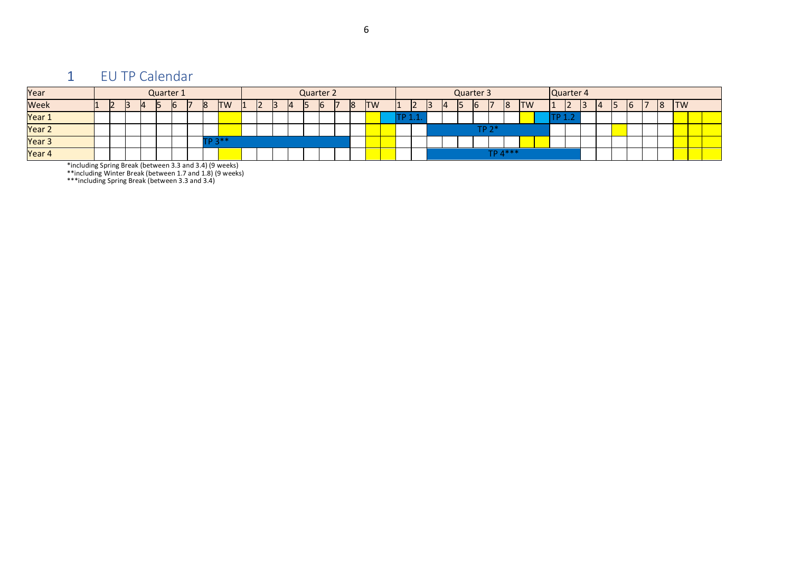### 1 EU TP Calendar

|  | - |  |  |           | Ш.                         |  |  |  | 18        |  |           | ı<br>ı |  | 15 | <b>ID</b> | 8                         | <b>ITW</b> |           | $\overline{\phantom{a}}$ |           | Ξ | 16 |  |   |           |
|--|---|--|--|-----------|----------------------------|--|--|--|-----------|--|-----------|--------|--|----|-----------|---------------------------|------------|-----------|--------------------------|-----------|---|----|--|---|-----------|
|  |   |  |  |           |                            |  |  |  |           |  |           |        |  |    |           |                           |            |           |                          |           |   |    |  |   |           |
|  |   |  |  |           |                            |  |  |  |           |  |           |        |  |    |           |                           |            |           |                          |           |   |    |  |   |           |
|  |   |  |  |           |                            |  |  |  |           |  |           |        |  |    |           |                           |            |           |                          |           |   |    |  |   |           |
|  |   |  |  |           |                            |  |  |  |           |  |           |        |  |    |           |                           |            |           |                          |           |   |    |  |   |           |
|  |   |  |  | Quarter 1 | <b>TW</b><br><b>TD 3**</b> |  |  |  | Quarter 2 |  | <b>TW</b> | .      |  |    |           | Quarter 3<br><b>TP 23</b> |            | $TP 4***$ |                          | Quarter 4 |   |    |  | 8 | <b>TW</b> |

\*including Spring Break (between 3.3 and 3.4) (9 weeks)

\*\*including Winter Break (between 1.7 and 1.8) (9 weeks)

\*\*\*including Spring Break (between 3.3 and 3.4)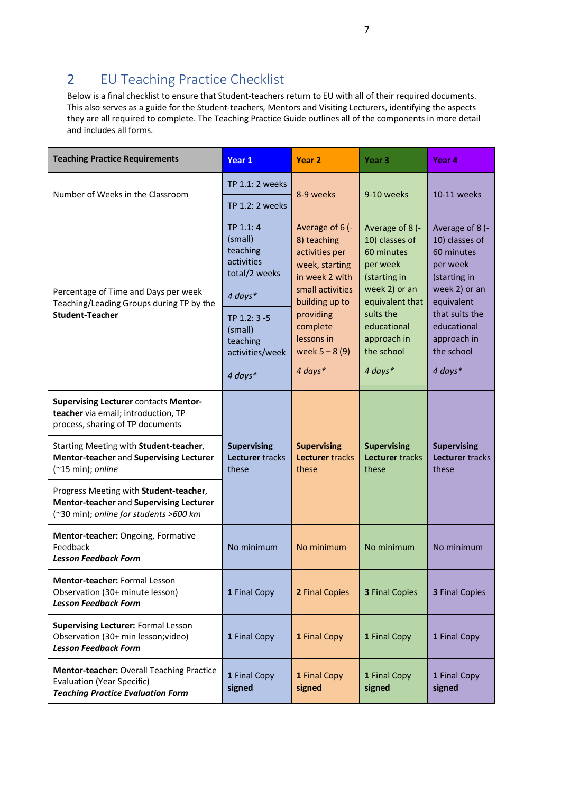#### 2 EU Teaching Practice Checklist

Below is a final checklist to ensure that Student-teachers return to EU with all of their required documents. This also serves as a guide for the Student-teachers, Mentors and Visiting Lecturers, identifying the aspects they are all required to complete. The Teaching Practice Guide outlines all of the components in more detail and includes all forms.

| <b>Teaching Practice Requirements</b>                                                                                       | Year 1                                                                     | Year 2                                                                                                                     | Year 3                                                                                                          | Year 4                                                                                                     |  |  |
|-----------------------------------------------------------------------------------------------------------------------------|----------------------------------------------------------------------------|----------------------------------------------------------------------------------------------------------------------------|-----------------------------------------------------------------------------------------------------------------|------------------------------------------------------------------------------------------------------------|--|--|
| Number of Weeks in the Classroom                                                                                            | TP 1.1: 2 weeks                                                            | 8-9 weeks                                                                                                                  | 9-10 weeks                                                                                                      | 10-11 weeks                                                                                                |  |  |
|                                                                                                                             | TP $1.2:2$ weeks                                                           |                                                                                                                            |                                                                                                                 |                                                                                                            |  |  |
| Percentage of Time and Days per week<br>Teaching/Leading Groups during TP by the                                            | TP 1.1: 4<br>(small)<br>teaching<br>activities<br>total/2 weeks<br>4 days* | Average of 6 (-<br>8) teaching<br>activities per<br>week, starting<br>in week 2 with<br>small activities<br>building up to | Average of 8 (-<br>10) classes of<br>60 minutes<br>per week<br>(starting in<br>week 2) or an<br>equivalent that | Average of 8 (-<br>10) classes of<br>60 minutes<br>per week<br>(starting in<br>week 2) or an<br>equivalent |  |  |
| <b>Student-Teacher</b>                                                                                                      | TP 1.2: 3 -5<br>(small)<br>teaching<br>activities/week<br>4 days*          | providing<br>complete<br>lessons in<br>week $5 - 8(9)$<br>4 days*                                                          | suits the<br>educational<br>approach in<br>the school<br>4 days*                                                | that suits the<br>educational<br>approach in<br>the school<br>4 days*                                      |  |  |
| <b>Supervising Lecturer contacts Mentor-</b><br>teacher via email; introduction, TP<br>process, sharing of TP documents     |                                                                            |                                                                                                                            |                                                                                                                 |                                                                                                            |  |  |
| Starting Meeting with Student-teacher,<br>Mentor-teacher and Supervising Lecturer<br>$(*15 min);$ online                    | <b>Supervising</b><br>Lecturer tracks<br>these                             | <b>Supervising</b><br>Lecturer tracks<br>these                                                                             | <b>Supervising</b><br>Lecturer tracks<br>these                                                                  | <b>Supervising</b><br>Lecturer tracks<br>these                                                             |  |  |
| Progress Meeting with Student-teacher,<br>Mentor-teacher and Supervising Lecturer<br>(~30 min); online for students >600 km |                                                                            |                                                                                                                            |                                                                                                                 |                                                                                                            |  |  |
| Mentor-teacher: Ongoing, Formative<br>Feedback<br><b>Lesson Feedback Form</b>                                               | No minimum                                                                 | No minimum                                                                                                                 | No minimum                                                                                                      | No minimum                                                                                                 |  |  |
| Mentor-teacher: Formal Lesson<br>Observation (30+ minute lesson)<br><b>Lesson Feedback Form</b>                             | 1 Final Copy                                                               | 2 Final Copies                                                                                                             | <b>3 Final Copies</b>                                                                                           | 3 Final Copies                                                                                             |  |  |
| <b>Supervising Lecturer: Formal Lesson</b><br>Observation (30+ min lesson; video)<br><b>Lesson Feedback Form</b>            | 1 Final Copy                                                               | 1 Final Copy                                                                                                               | 1 Final Copy                                                                                                    | 1 Final Copy                                                                                               |  |  |
| Mentor-teacher: Overall Teaching Practice<br><b>Evaluation (Year Specific)</b><br><b>Teaching Practice Evaluation Form</b>  | 1 Final Copy<br>signed                                                     | 1 Final Copy<br>signed                                                                                                     | 1 Final Copy<br>signed                                                                                          | 1 Final Copy<br>signed                                                                                     |  |  |